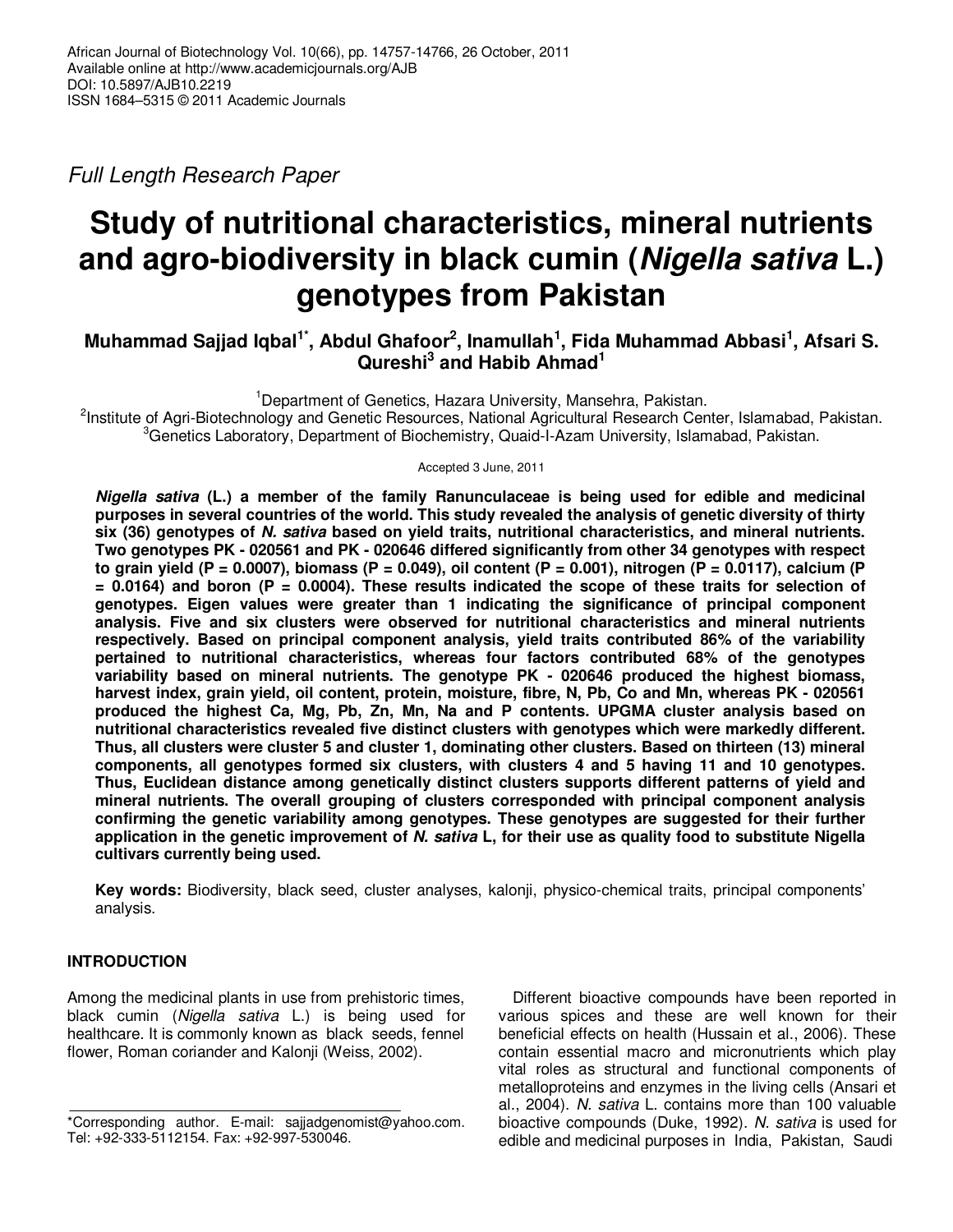Full Length Research Paper

# **Study of nutritional characteristics, mineral nutrients and agro-biodiversity in black cumin (Nigella sativa L.) genotypes from Pakistan**

# **Muhammad Sajjad Iqbal1\*, Abdul Ghafoor<sup>2</sup> , Inamullah<sup>1</sup> , Fida Muhammad Abbasi<sup>1</sup> , Afsari S. Qureshi<sup>3</sup> and Habib Ahmad<sup>1</sup>**

<sup>1</sup>Department of Genetics, Hazara University, Mansehra, Pakistan. <sup>2</sup>Institute of Agri-Biotechnology and Genetic Resources, National Agricultural Research Center, Islamabad, Pakistan. <sup>3</sup>Genetics Laboratory, Department of Biochemistry, Quaid-I-Azam University, Islamabad, Pakistan.

Accepted 3 June, 2011

**Nigella sativa (L.) a member of the family Ranunculaceae is being used for edible and medicinal purposes in several countries of the world. This study revealed the analysis of genetic diversity of thirty six (36) genotypes of N. sativa based on yield traits, nutritional characteristics, and mineral nutrients. Two genotypes PK - 020561 and PK - 020646 differed significantly from other 34 genotypes with respect**  to grain yield (P = 0.0007), biomass (P = 0.049), oil content (P = 0.001), nitrogen (P = 0.0117), calcium (P **= 0.0164) and boron (P = 0.0004). These results indicated the scope of these traits for selection of genotypes. Eigen values were greater than 1 indicating the significance of principal component analysis. Five and six clusters were observed for nutritional characteristics and mineral nutrients respectively. Based on principal component analysis, yield traits contributed 86% of the variability pertained to nutritional characteristics, whereas four factors contributed 68% of the genotypes variability based on mineral nutrients. The genotype PK - 020646 produced the highest biomass, harvest index, grain yield, oil content, protein, moisture, fibre, N, Pb, Co and Mn, whereas PK - 020561 produced the highest Ca, Mg, Pb, Zn, Mn, Na and P contents. UPGMA cluster analysis based on nutritional characteristics revealed five distinct clusters with genotypes which were markedly different. Thus, all clusters were cluster 5 and cluster 1, dominating other clusters. Based on thirteen (13) mineral components, all genotypes formed six clusters, with clusters 4 and 5 having 11 and 10 genotypes. Thus, Euclidean distance among genetically distinct clusters supports different patterns of yield and mineral nutrients. The overall grouping of clusters corresponded with principal component analysis confirming the genetic variability among genotypes. These genotypes are suggested for their further application in the genetic improvement of N. sativa L, for their use as quality food to substitute Nigella cultivars currently being used.** 

**Key words:** Biodiversity, black seed, cluster analyses, kalonji, physico-chemical traits, principal components' analysis.

# **INTRODUCTION**

Among the medicinal plants in use from prehistoric times, black cumin (Nigella sativa L.) is being used for healthcare. It is commonly known as black seeds, fennel flower, Roman coriander and Kalonji (Weiss, 2002).

Different bioactive compounds have been reported in various spices and these are well known for their beneficial effects on health (Hussain et al., 2006). These contain essential macro and micronutrients which play vital roles as structural and functional components of metalloproteins and enzymes in the living cells (Ansari et al., 2004). N. sativa L. contains more than 100 valuable bioactive compounds (Duke, 1992). N. sativa is used for edible and medicinal purposes in India, Pakistan, Saudi

<sup>\*</sup>Corresponding author. E-mail: sajjadgenomist@yahoo.com. Tel: +92-333-5112154. Fax: +92-997-530046.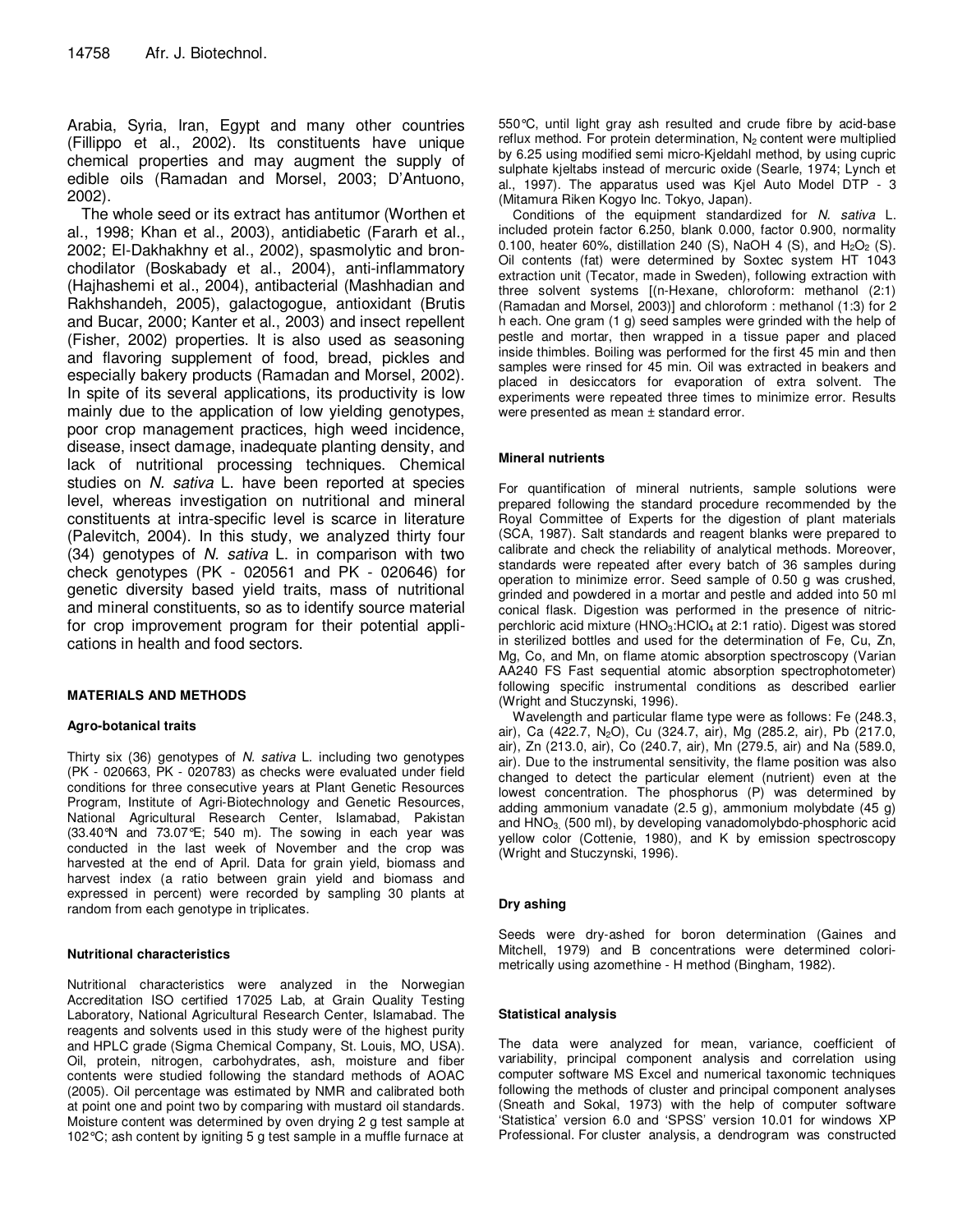Arabia, Syria, Iran, Egypt and many other countries (Fillippo et al., 2002). Its constituents have unique chemical properties and may augment the supply of edible oils (Ramadan and Morsel, 2003; D'Antuono, 2002).

The whole seed or its extract has antitumor (Worthen et al., 1998; Khan et al., 2003), antidiabetic (Fararh et al., 2002; El-Dakhakhny et al., 2002), spasmolytic and bronchodilator (Boskabady et al., 2004), anti-inflammatory (Hajhashemi et al., 2004), antibacterial (Mashhadian and Rakhshandeh, 2005), galactogogue, antioxidant (Brutis and Bucar, 2000; Kanter et al., 2003) and insect repellent (Fisher, 2002) properties. It is also used as seasoning and flavoring supplement of food, bread, pickles and especially bakery products (Ramadan and Morsel, 2002). In spite of its several applications, its productivity is low mainly due to the application of low yielding genotypes, poor crop management practices, high weed incidence, disease, insect damage, inadequate planting density, and lack of nutritional processing techniques. Chemical studies on N. sativa L. have been reported at species level, whereas investigation on nutritional and mineral constituents at intra-specific level is scarce in literature (Palevitch, 2004). In this study, we analyzed thirty four (34) genotypes of N. sativa L. in comparison with two check genotypes (PK - 020561 and PK - 020646) for genetic diversity based yield traits, mass of nutritional and mineral constituents, so as to identify source material for crop improvement program for their potential applications in health and food sectors.

# **MATERIALS AND METHODS**

# **Agro-botanical traits**

Thirty six (36) genotypes of N. sativa L. including two genotypes (PK - 020663, PK - 020783) as checks were evaluated under field conditions for three consecutive years at Plant Genetic Resources Program, Institute of Agri-Biotechnology and Genetic Resources, National Agricultural Research Center, Islamabad, Pakistan (33.40°N and 73.07°E; 540 m). The sowing in each year was conducted in the last week of November and the crop was harvested at the end of April. Data for grain yield, biomass and harvest index (a ratio between grain yield and biomass and expressed in percent) were recorded by sampling 30 plants at random from each genotype in triplicates.

# **Nutritional characteristics**

Nutritional characteristics were analyzed in the Norwegian Accreditation ISO certified 17025 Lab, at Grain Quality Testing Laboratory, National Agricultural Research Center, Islamabad. The reagents and solvents used in this study were of the highest purity and HPLC grade (Sigma Chemical Company, St. Louis, MO, USA). Oil, protein, nitrogen, carbohydrates, ash, moisture and fiber contents were studied following the standard methods of AOAC (2005). Oil percentage was estimated by NMR and calibrated both at point one and point two by comparing with mustard oil standards. Moisture content was determined by oven drying 2 g test sample at 102°C; ash content by igniting 5 g test sample in a muffle furnace at

550°C, until light gray ash resulted and crude fibre by acid-base reflux method. For protein determination,  $N_2$  content were multiplied by 6.25 using modified semi micro-Kjeldahl method, by using cupric sulphate kjeltabs instead of mercuric oxide (Searle, 1974; Lynch et al., 1997). The apparatus used was Kjel Auto Model DTP - 3 (Mitamura Riken Kogyo Inc. Tokyo, Japan).

Conditions of the equipment standardized for N. sativa L. included protein factor 6.250, blank 0.000, factor 0.900, normality 0.100, heater 60%, distillation 240 (S), NaOH 4 (S), and  $H_2O_2$  (S). Oil contents (fat) were determined by Soxtec system HT 1043 extraction unit (Tecator, made in Sweden), following extraction with three solvent systems [(n-Hexane, chloroform: methanol (2:1) (Ramadan and Morsel, 2003)] and chloroform : methanol (1:3) for 2 h each. One gram (1 g) seed samples were grinded with the help of pestle and mortar, then wrapped in a tissue paper and placed inside thimbles. Boiling was performed for the first 45 min and then samples were rinsed for 45 min. Oil was extracted in beakers and placed in desiccators for evaporation of extra solvent. The experiments were repeated three times to minimize error. Results were presented as mean ± standard error.

#### **Mineral nutrients**

For quantification of mineral nutrients, sample solutions were prepared following the standard procedure recommended by the Royal Committee of Experts for the digestion of plant materials (SCA, 1987). Salt standards and reagent blanks were prepared to calibrate and check the reliability of analytical methods. Moreover, standards were repeated after every batch of 36 samples during operation to minimize error. Seed sample of 0.50 g was crushed, grinded and powdered in a mortar and pestle and added into 50 ml conical flask. Digestion was performed in the presence of nitricperchloric acid mixture (HNO<sub>3</sub>:HClO<sub>4</sub> at 2:1 ratio). Digest was stored in sterilized bottles and used for the determination of Fe, Cu, Zn, Mg, Co, and Mn, on flame atomic absorption spectroscopy (Varian AA240 FS Fast sequential atomic absorption spectrophotometer) following specific instrumental conditions as described earlier (Wright and Stuczynski, 1996).

Wavelength and particular flame type were as follows: Fe (248.3, air), Ca (422.7, N<sub>2</sub>O), Cu (324.7, air), Mg (285.2, air), Pb (217.0, air), Zn (213.0, air), Co (240.7, air), Mn (279.5, air) and Na (589.0, air). Due to the instrumental sensitivity, the flame position was also changed to detect the particular element (nutrient) even at the lowest concentration. The phosphorus (P) was determined by adding ammonium vanadate (2.5 g), ammonium molybdate (45 g) and  $HNO<sub>3</sub>$ , (500 ml), by developing vanadomolybdo-phosphoric acid yellow color (Cottenie, 1980), and K by emission spectroscopy (Wright and Stuczynski, 1996).

# **Dry ashing**

Seeds were dry-ashed for boron determination (Gaines and Mitchell, 1979) and B concentrations were determined colorimetrically using azomethine - H method (Bingham, 1982).

#### **Statistical analysis**

The data were analyzed for mean, variance, coefficient of variability, principal component analysis and correlation using computer software MS Excel and numerical taxonomic techniques following the methods of cluster and principal component analyses (Sneath and Sokal, 1973) with the help of computer software 'Statistica' version 6.0 and 'SPSS' version 10.01 for windows XP Professional. For cluster analysis, a dendrogram was constructed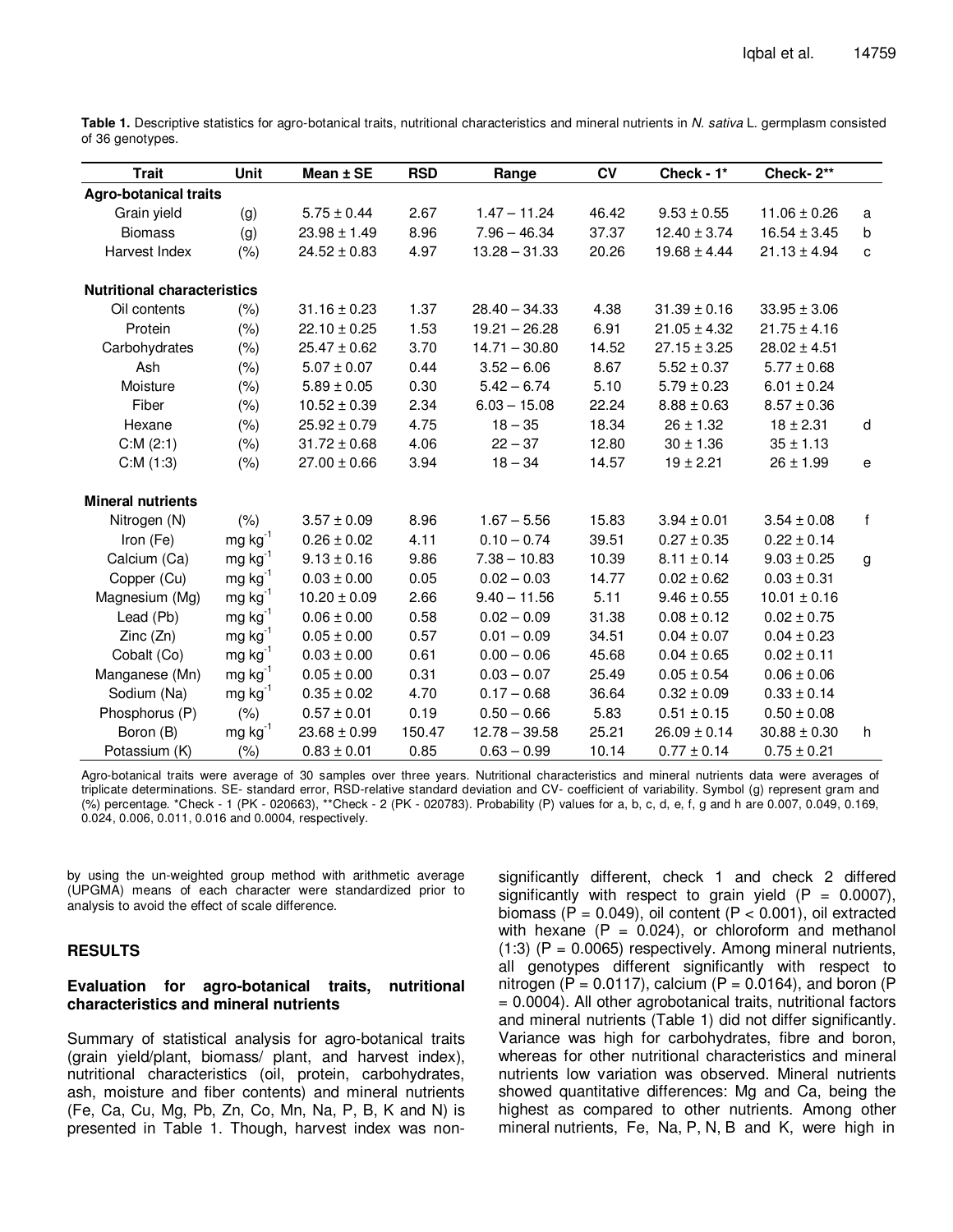| <b>Trait</b>                       | Unit                  | Mean ± SE        | <b>RSD</b> | Range           | <b>CV</b> | Check - 1*       | Check-2**        |              |
|------------------------------------|-----------------------|------------------|------------|-----------------|-----------|------------------|------------------|--------------|
| <b>Agro-botanical traits</b>       |                       |                  |            |                 |           |                  |                  |              |
| Grain yield                        | (g)                   | $5.75 \pm 0.44$  | 2.67       | $1.47 - 11.24$  | 46.42     | $9.53 \pm 0.55$  | $11.06 \pm 0.26$ | a            |
| <b>Biomass</b>                     | (g)                   | $23.98 \pm 1.49$ | 8.96       | $7.96 - 46.34$  | 37.37     | $12.40 \pm 3.74$ | $16.54 \pm 3.45$ | b            |
| Harvest Index                      | (% )                  | $24.52 \pm 0.83$ | 4.97       | $13.28 - 31.33$ | 20.26     | $19.68 \pm 4.44$ | $21.13 \pm 4.94$ | c            |
| <b>Nutritional characteristics</b> |                       |                  |            |                 |           |                  |                  |              |
| Oil contents                       | (% )                  | $31.16 \pm 0.23$ | 1.37       | $28.40 - 34.33$ | 4.38      | $31.39 \pm 0.16$ | $33.95 \pm 3.06$ |              |
| Protein                            | (% )                  | $22.10 \pm 0.25$ | 1.53       | $19.21 - 26.28$ | 6.91      | $21.05 \pm 4.32$ | $21.75 \pm 4.16$ |              |
| Carbohydrates                      | (%)                   | $25.47 \pm 0.62$ | 3.70       | $14.71 - 30.80$ | 14.52     | $27.15 \pm 3.25$ | $28.02 \pm 4.51$ |              |
| Ash                                | (% )                  | $5.07 \pm 0.07$  | 0.44       | $3.52 - 6.06$   | 8.67      | $5.52 \pm 0.37$  | $5.77 \pm 0.68$  |              |
| Moisture                           | (%)                   | $5.89 \pm 0.05$  | 0.30       | $5.42 - 6.74$   | 5.10      | $5.79 \pm 0.23$  | $6.01 \pm 0.24$  |              |
| Fiber                              | (%)                   | $10.52 \pm 0.39$ | 2.34       | $6.03 - 15.08$  | 22.24     | $8.88 \pm 0.63$  | $8.57 \pm 0.36$  |              |
| Hexane                             | (%)                   | $25.92 \pm 0.79$ | 4.75       | $18 - 35$       | 18.34     | $26 \pm 1.32$    | $18 \pm 2.31$    | d            |
| C:M(2:1)                           | (% )                  | $31.72 \pm 0.68$ | 4.06       | $22 - 37$       | 12.80     | $30 \pm 1.36$    | $35 \pm 1.13$    |              |
| C:M(1:3)                           | (% )                  | $27.00 \pm 0.66$ | 3.94       | $18 - 34$       | 14.57     | $19 \pm 2.21$    | $26 \pm 1.99$    | e            |
| <b>Mineral nutrients</b>           |                       |                  |            |                 |           |                  |                  |              |
| Nitrogen (N)                       | (% )                  | $3.57 \pm 0.09$  | 8.96       | $1.67 - 5.56$   | 15.83     | $3.94 \pm 0.01$  | $3.54 \pm 0.08$  | $\mathbf{f}$ |
| Iron (Fe)                          | $mg$ kg <sup>-1</sup> | $0.26 \pm 0.02$  | 4.11       | $0.10 - 0.74$   | 39.51     | $0.27 \pm 0.35$  | $0.22 \pm 0.14$  |              |
| Calcium (Ca)                       | $mg kg^{-1}$          | $9.13 \pm 0.16$  | 9.86       | $7.38 - 10.83$  | 10.39     | $8.11 \pm 0.14$  | $9.03 \pm 0.25$  | g            |
| Copper (Cu)                        | $mg kg^{-1}$          | $0.03 \pm 0.00$  | 0.05       | $0.02 - 0.03$   | 14.77     | $0.02 \pm 0.62$  | $0.03 \pm 0.31$  |              |
| Magnesium (Mg)                     | $mg kg^{-1}$          | $10.20 \pm 0.09$ | 2.66       | $9.40 - 11.56$  | 5.11      | $9.46 \pm 0.55$  | $10.01 \pm 0.16$ |              |
| Lead (Pb)                          | $mg kg^{-1}$          | $0.06 \pm 0.00$  | 0.58       | $0.02 - 0.09$   | 31.38     | $0.08 \pm 0.12$  | $0.02 \pm 0.75$  |              |
| Zinc(Zn)                           | $mg kg^{-1}$          | $0.05 \pm 0.00$  | 0.57       | $0.01 - 0.09$   | 34.51     | $0.04 \pm 0.07$  | $0.04 \pm 0.23$  |              |
| Cobalt (Co)                        | $mg kg^{-1}$          | $0.03 \pm 0.00$  | 0.61       | $0.00 - 0.06$   | 45.68     | $0.04 \pm 0.65$  | $0.02 \pm 0.11$  |              |
| Manganese (Mn)                     | $mg kg^{-1}$          | $0.05\pm0.00$    | 0.31       | $0.03 - 0.07$   | 25.49     | $0.05 \pm 0.54$  | $0.06 \pm 0.06$  |              |
| Sodium (Na)                        | $mg kg^{-1}$          | $0.35 \pm 0.02$  | 4.70       | $0.17 - 0.68$   | 36.64     | $0.32 \pm 0.09$  | $0.33 \pm 0.14$  |              |
| Phosphorus (P)                     | (% )                  | $0.57 \pm 0.01$  | 0.19       | $0.50 - 0.66$   | 5.83      | $0.51 \pm 0.15$  | $0.50 \pm 0.08$  |              |
| Boron (B)                          | $mg kg^{-1}$          | $23.68 \pm 0.99$ | 150.47     | $12.78 - 39.58$ | 25.21     | $26.09 \pm 0.14$ | $30.88 \pm 0.30$ | h            |
| Potassium (K)                      | (%)                   | $0.83 \pm 0.01$  | 0.85       | $0.63 - 0.99$   | 10.14     | $0.77 \pm 0.14$  | $0.75 \pm 0.21$  |              |

Table 1. Descriptive statistics for agro-botanical traits, nutritional characteristics and mineral nutrients in N. sativa L. germplasm consisted of 36 genotypes.

Agro-botanical traits were average of 30 samples over three years. Nutritional characteristics and mineral nutrients data were averages of triplicate determinations. SE- standard error, RSD-relative standard deviation and CV- coefficient of variability. Symbol (g) represent gram and (%) percentage. \*Check - 1 (PK - 020663), \*\*Check - 2 (PK - 020783). Probability (P) values for a, b, c, d, e, f, g and h are 0.007, 0.049, 0.169, 0.024, 0.006, 0.011, 0.016 and 0.0004, respectively.

by using the un-weighted group method with arithmetic average (UPGMA) means of each character were standardized prior to analysis to avoid the effect of scale difference.

# **RESULTS**

# **Evaluation for agro-botanical traits, nutritional characteristics and mineral nutrients**

Summary of statistical analysis for agro-botanical traits (grain yield/plant, biomass/ plant, and harvest index), nutritional characteristics (oil, protein, carbohydrates, ash, moisture and fiber contents) and mineral nutrients (Fe, Ca, Cu, Mg, Pb, Zn, Co, Mn, Na, P, B, K and N) is presented in Table 1. Though, harvest index was nonsignificantly different, check 1 and check 2 differed significantly with respect to grain yield  $(P = 0.0007)$ , biomass (P =  $0.049$ ), oil content (P <  $0.001$ ), oil extracted with hexane  $(P = 0.024)$ , or chloroform and methanol  $(1:3)$  (P = 0.0065) respectively. Among mineral nutrients, all genotypes different significantly with respect to nitrogen (P =  $0.0117$ ), calcium (P =  $0.0164$ ), and boron (P = 0.0004). All other agrobotanical traits, nutritional factors and mineral nutrients (Table 1) did not differ significantly. Variance was high for carbohydrates, fibre and boron, whereas for other nutritional characteristics and mineral nutrients low variation was observed. Mineral nutrients showed quantitative differences: Mg and Ca, being the highest as compared to other nutrients. Among other mineral nutrients, Fe, Na, P, N, B and K, were high in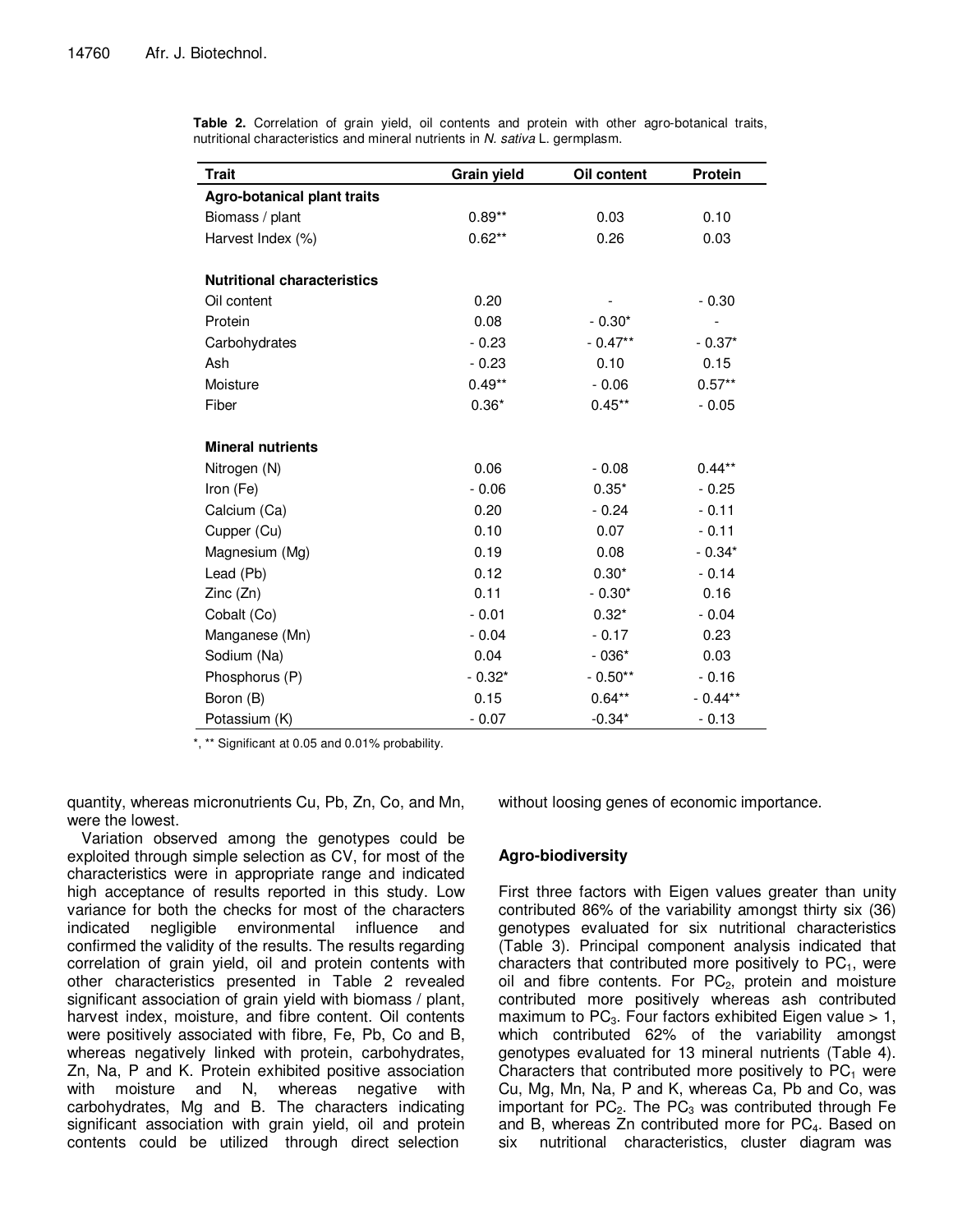| Trait                              | Grain yield | Oil content | Protein                      |
|------------------------------------|-------------|-------------|------------------------------|
| <b>Agro-botanical plant traits</b> |             |             |                              |
| Biomass / plant                    | $0.89**$    | 0.03        | 0.10                         |
| Harvest Index (%)                  | $0.62**$    | 0.26        | 0.03                         |
|                                    |             |             |                              |
| <b>Nutritional characteristics</b> |             |             |                              |
| Oil content                        | 0.20        |             | $-0.30$                      |
| Protein                            | 0.08        | $-0.30*$    | $\qquad \qquad \blacksquare$ |
| Carbohydrates                      | $-0.23$     | $-0.47**$   | $-0.37*$                     |
| Ash                                | $-0.23$     | 0.10        | 0.15                         |
| Moisture                           | $0.49**$    | $-0.06$     | $0.57**$                     |
| Fiber                              | $0.36*$     | $0.45**$    | $-0.05$                      |
|                                    |             |             |                              |
| <b>Mineral nutrients</b>           |             |             |                              |
| Nitrogen (N)                       | 0.06        | $-0.08$     | $0.44***$                    |
| Iron (Fe)                          | $-0.06$     | $0.35*$     | $-0.25$                      |
| Calcium (Ca)                       | 0.20        | $-0.24$     | $-0.11$                      |
| Cupper (Cu)                        | 0.10        | 0.07        | $-0.11$                      |
| Magnesium (Mg)                     | 0.19        | 0.08        | $-0.34*$                     |
| Lead (Pb)                          | 0.12        | $0.30*$     | $-0.14$                      |
| Zinc(Zn)                           | 0.11        | $-0.30*$    | 0.16                         |
| Cobalt (Co)                        | $-0.01$     | $0.32*$     | $-0.04$                      |
| Manganese (Mn)                     | $-0.04$     | $-0.17$     | 0.23                         |
| Sodium (Na)                        | 0.04        | $-036*$     | 0.03                         |
| Phosphorus (P)                     | $-0.32*$    | $-0.50**$   | $-0.16$                      |
| Boron (B)                          | 0.15        | $0.64**$    | $-0.44**$                    |
| Potassium (K)                      | $-0.07$     | $-0.34*$    | $-0.13$                      |

**Table 2.** Correlation of grain yield, oil contents and protein with other agro-botanical traits, nutritional characteristics and mineral nutrients in N. sativa L. germplasm.

\*, \*\* Significant at 0.05 and 0.01% probability.

quantity, whereas micronutrients Cu, Pb, Zn, Co, and Mn, were the lowest.

Variation observed among the genotypes could be exploited through simple selection as CV, for most of the characteristics were in appropriate range and indicated high acceptance of results reported in this study. Low variance for both the checks for most of the characters indicated negligible environmental influence and confirmed the validity of the results. The results regarding correlation of grain yield, oil and protein contents with other characteristics presented in Table 2 revealed significant association of grain yield with biomass / plant, harvest index, moisture, and fibre content. Oil contents were positively associated with fibre, Fe, Pb, Co and B, whereas negatively linked with protein, carbohydrates, Zn, Na, P and K. Protein exhibited positive association with moisture and N, whereas negative with carbohydrates, Mg and B. The characters indicating significant association with grain yield, oil and protein contents could be utilized through direct selection

without loosing genes of economic importance.

# **Agro-biodiversity**

First three factors with Eigen values greater than unity contributed 86% of the variability amongst thirty six (36) genotypes evaluated for six nutritional characteristics (Table 3). Principal component analysis indicated that characters that contributed more positively to  $PC_1$ , were oil and fibre contents. For  $PC<sub>2</sub>$ , protein and moisture contributed more positively whereas ash contributed maximum to  $PC<sub>3</sub>$ . Four factors exhibited Eigen value  $> 1$ , which contributed 62% of the variability amongst genotypes evaluated for 13 mineral nutrients (Table 4). Characters that contributed more positively to  $PC<sub>1</sub>$  were Cu, Mg, Mn, Na, P and K, whereas Ca, Pb and Co, was important for  $PC<sub>2</sub>$ . The  $PC<sub>3</sub>$  was contributed through Fe and B, whereas Zn contributed more for PC<sub>4</sub>. Based on six nutritional characteristics, cluster diagram was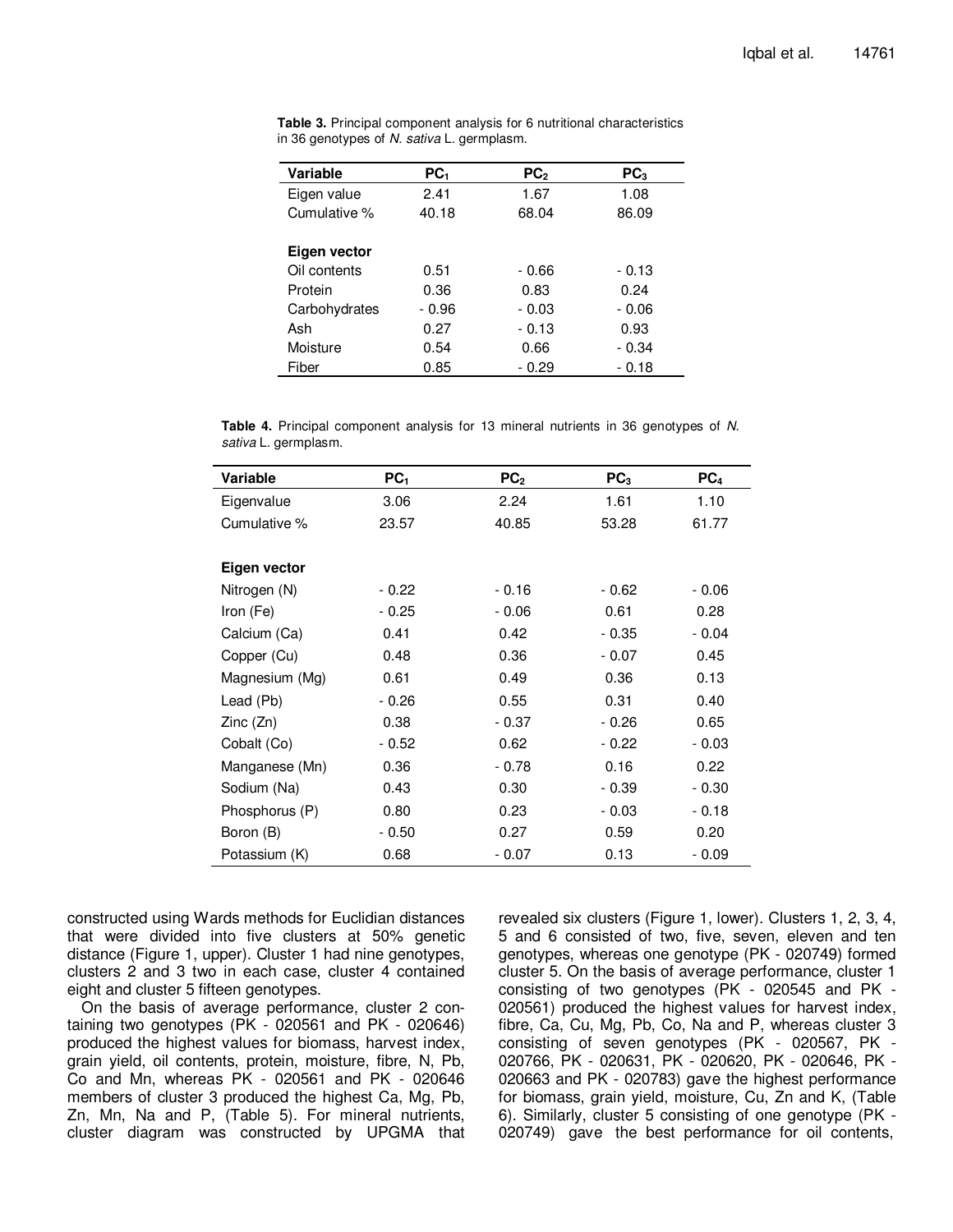| <b>Variable</b> | PC <sub>1</sub> | PC <sub>2</sub> | PC <sub>3</sub> |
|-----------------|-----------------|-----------------|-----------------|
| Eigen value     | 2.41            | 1.67            | 1.08            |
| Cumulative %    | 40.18           | 68.04           | 86.09           |
|                 |                 |                 |                 |
| Eigen vector    |                 |                 |                 |
| Oil contents    | 0.51            | $-0.66$         | - 0.13          |
| Protein         | 0.36            | 0.83            | 0.24            |
| Carbohydrates   | $-0.96$         | $-0.03$         | $-0.06$         |
| Ash             | 0.27            | $-0.13$         | 0.93            |
| Moisture        | 0.54            | 0.66            | - 0.34          |
| Fiber           | 0.85            | - 0.29          | $-0.18$         |

**Table 3.** Principal component analysis for 6 nutritional characteristics in 36 genotypes of N. sativa L. germplasm.

**Table 4.** Principal component analysis for 13 mineral nutrients in 36 genotypes of N. sativa L. germplasm.

| Variable       | PC <sub>1</sub> | PC <sub>2</sub> | PC <sub>3</sub> | PC <sub>4</sub> |
|----------------|-----------------|-----------------|-----------------|-----------------|
| Eigenvalue     | 3.06            | 2.24            | 1.61            | 1.10            |
| Cumulative %   | 23.57           | 40.85           | 53.28           | 61.77           |
|                |                 |                 |                 |                 |
| Eigen vector   |                 |                 |                 |                 |
| Nitrogen (N)   | $-0.22$         | $-0.16$         | - 0.62          | $-0.06$         |
| Iron (Fe)      | - 0.25          | $-0.06$         | 0.61            | 0.28            |
| Calcium (Ca)   | 0.41            | 0.42            | $-0.35$         | $-0.04$         |
| Copper (Cu)    | 0.48            | 0.36            | $-0.07$         | 0.45            |
| Magnesium (Mg) | 0.61            | 0.49            | 0.36            | 0.13            |
| Lead (Pb)      | $-0.26$         | 0.55            | 0.31            | 0.40            |
| Zinc(Zn)       | 0.38            | $-0.37$         | - 0.26          | 0.65            |
| Cobalt (Co)    | - 0.52          | 0.62            | - 0.22          | $-0.03$         |
| Manganese (Mn) | 0.36            | $-0.78$         | 0.16            | 0.22            |
| Sodium (Na)    | 0.43            | 0.30            | - 0.39          | $-0.30$         |
| Phosphorus (P) | 0.80            | 0.23            | - 0.03          | $-0.18$         |
| Boron (B)      | $-0.50$         | 0.27            | 0.59            | 0.20            |
| Potassium (K)  | 0.68            | $-0.07$         | 0.13            | $-0.09$         |
|                |                 |                 |                 |                 |

constructed using Wards methods for Euclidian distances that were divided into five clusters at 50% genetic distance (Figure 1, upper). Cluster 1 had nine genotypes, clusters 2 and 3 two in each case, cluster 4 contained eight and cluster 5 fifteen genotypes.

On the basis of average performance, cluster 2 containing two genotypes (PK - 020561 and PK - 020646) produced the highest values for biomass, harvest index, grain yield, oil contents, protein, moisture, fibre, N, Pb, Co and Mn, whereas PK - 020561 and PK - 020646 members of cluster 3 produced the highest Ca, Mg, Pb, Zn, Mn, Na and P, (Table 5). For mineral nutrients, cluster diagram was constructed by UPGMA that

revealed six clusters (Figure 1, lower). Clusters 1, 2, 3, 4, 5 and 6 consisted of two, five, seven, eleven and ten genotypes, whereas one genotype (PK - 020749) formed cluster 5. On the basis of average performance, cluster 1 consisting of two genotypes (PK - 020545 and PK - 020561) produced the highest values for harvest index, fibre, Ca, Cu, Mg, Pb, Co, Na and P, whereas cluster 3 consisting of seven genotypes (PK - 020567, PK - 020766, PK - 020631, PK - 020620, PK - 020646, PK - 020663 and PK - 020783) gave the highest performance for biomass, grain yield, moisture, Cu, Zn and K, (Table 6). Similarly, cluster 5 consisting of one genotype (PK - 020749) gave the best performance for oil contents,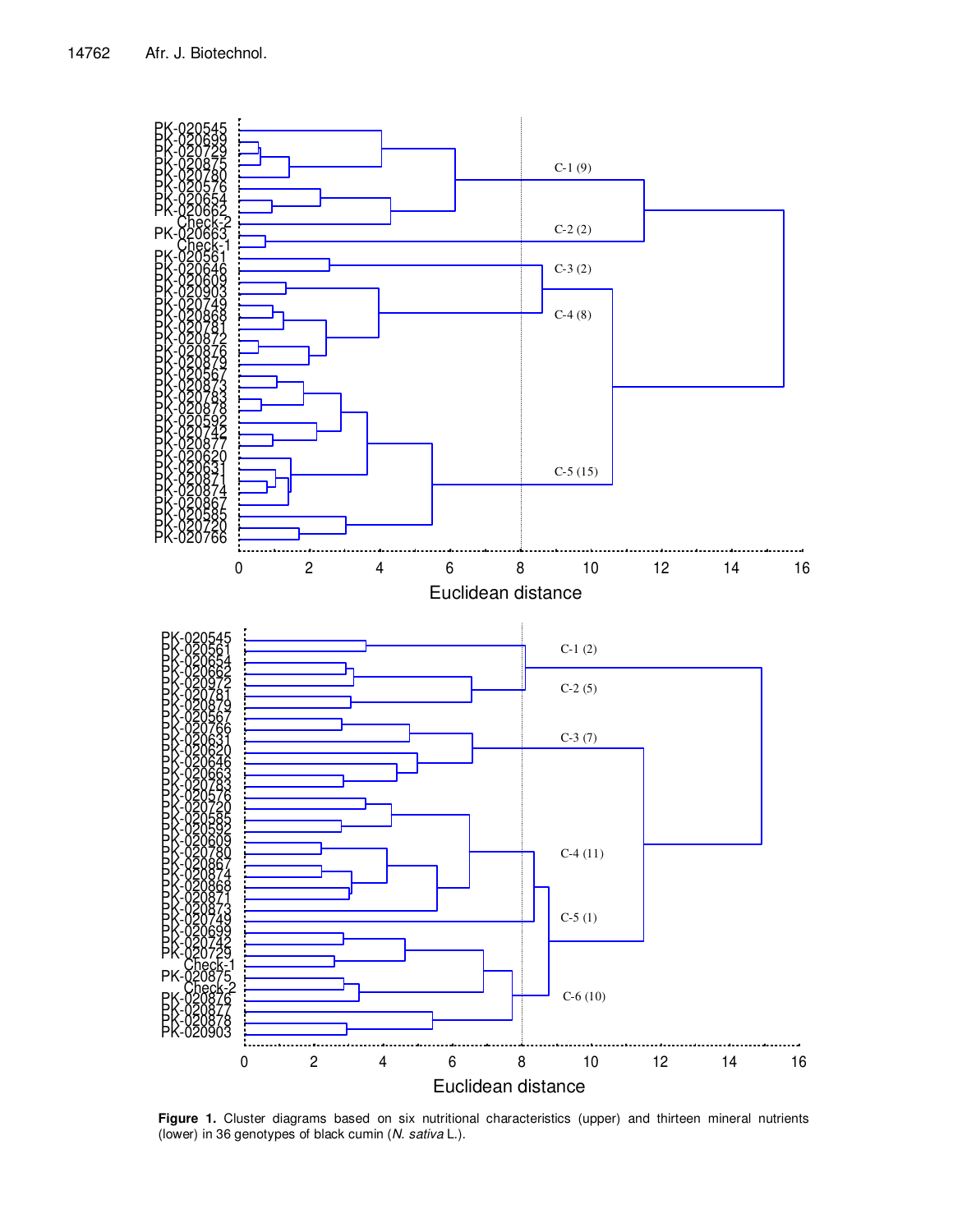

Figure 1. Cluster diagrams based on six nutritional characteristics (upper) and thirteen mineral nutrients (lower) in 36 genotypes of black cumin (N. sativa L.).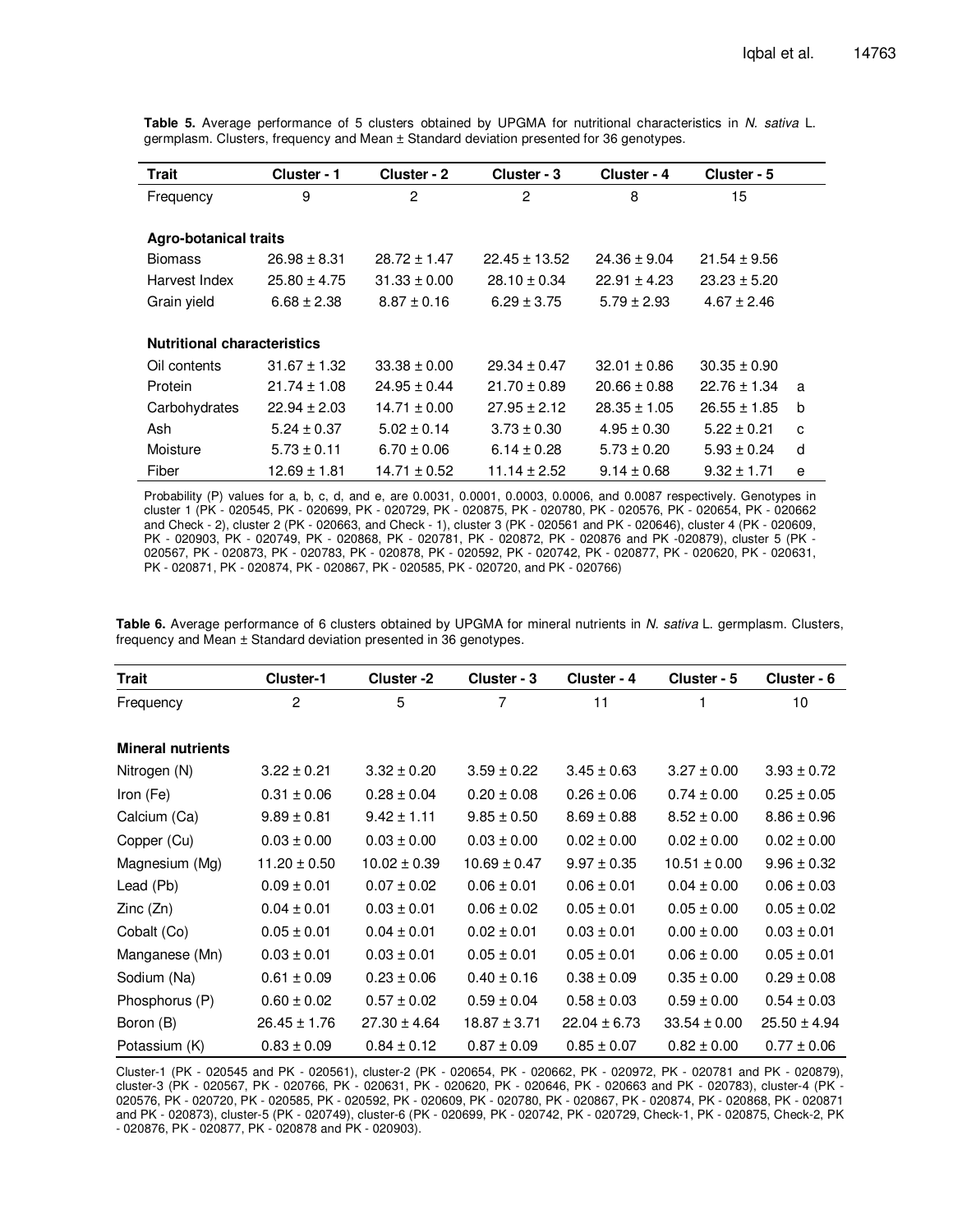**Table 5.** Average performance of 5 clusters obtained by UPGMA for nutritional characteristics in N. sativa L. germplasm. Clusters, frequency and Mean ± Standard deviation presented for 36 genotypes.

| <b>Trait</b>                       | Cluster - 1      | Cluster - 2      | Cluster - 3       | Cluster - 4      | Cluster - 5      |   |
|------------------------------------|------------------|------------------|-------------------|------------------|------------------|---|
| Frequency                          | 9                | 2                | $\overline{2}$    | 8                | 15               |   |
|                                    |                  |                  |                   |                  |                  |   |
| <b>Agro-botanical traits</b>       |                  |                  |                   |                  |                  |   |
| <b>Biomass</b>                     | $26.98 \pm 8.31$ | $28.72 \pm 1.47$ | $22.45 \pm 13.52$ | $24.36 \pm 9.04$ | $21.54 \pm 9.56$ |   |
| Harvest Index                      | $25.80 \pm 4.75$ | $31.33 \pm 0.00$ | $28.10 \pm 0.34$  | $22.91 \pm 4.23$ | $23.23 \pm 5.20$ |   |
| Grain yield                        | $6.68 \pm 2.38$  | $8.87 \pm 0.16$  | $6.29 \pm 3.75$   | $5.79 \pm 2.93$  | $4.67 \pm 2.46$  |   |
|                                    |                  |                  |                   |                  |                  |   |
| <b>Nutritional characteristics</b> |                  |                  |                   |                  |                  |   |
| Oil contents                       | $31.67 \pm 1.32$ | $33.38 \pm 0.00$ | $29.34 \pm 0.47$  | $32.01 \pm 0.86$ | $30.35 \pm 0.90$ |   |
| Protein                            | $21.74 \pm 1.08$ | $24.95 \pm 0.44$ | $21.70 \pm 0.89$  | $20.66 \pm 0.88$ | $22.76 \pm 1.34$ | a |
| Carbohydrates                      | $22.94 \pm 2.03$ | $14.71 \pm 0.00$ | $27.95 \pm 2.12$  | $28.35 \pm 1.05$ | $26.55 \pm 1.85$ | b |
| Ash                                | $5.24 \pm 0.37$  | $5.02 \pm 0.14$  | $3.73 \pm 0.30$   | $4.95 \pm 0.30$  | $5.22 \pm 0.21$  | C |
| Moisture                           | $5.73 \pm 0.11$  | $6.70 \pm 0.06$  | $6.14 \pm 0.28$   | $5.73 \pm 0.20$  | $5.93 \pm 0.24$  | d |
| Fiber                              | 12.69 ± 1.81     | $14.71 \pm 0.52$ | $11.14 \pm 2.52$  | $9.14 \pm 0.68$  | $9.32 \pm 1.71$  | e |

Probability (P) values for a, b, c, d, and e, are 0.0031, 0.0001, 0.0003, 0.0006, and 0.0087 respectively. Genotypes in cluster 1 (PK - 020545, PK - 020699, PK - 020729, PK - 020875, PK - 020780, PK - 020576, PK - 020654, PK - 020662 and Check - 2), cluster 2 (PK - 020663, and Check - 1), cluster 3 (PK - 020561 and PK - 020646), cluster 4 (PK - 020609, PK - 020903, PK - 020749, PK - 020868, PK - 020781, PK - 020872, PK - 020876 and PK -020879), cluster 5 (PK -020567, PK - 020873, PK - 020783, PK - 020878, PK - 020592, PK - 020742, PK - 020877, PK - 020620, PK - 020631, PK - 020871, PK - 020874, PK - 020867, PK - 020585, PK - 020720, and PK - 020766)

Table 6. Average performance of 6 clusters obtained by UPGMA for mineral nutrients in N. sativa L. germplasm. Clusters, frequency and Mean ± Standard deviation presented in 36 genotypes.

| <b>Trait</b>             | Cluster-1        | Cluster-2        | Cluster - 3      | Cluster - 4      | Cluster - 5      | Cluster - 6      |
|--------------------------|------------------|------------------|------------------|------------------|------------------|------------------|
| Frequency                | $\overline{c}$   | 5                | 7                | 11               | 1                | 10               |
| <b>Mineral nutrients</b> |                  |                  |                  |                  |                  |                  |
| Nitrogen (N)             | $3.22 \pm 0.21$  | $3.32 \pm 0.20$  | $3.59 \pm 0.22$  | $3.45 \pm 0.63$  | $3.27 \pm 0.00$  | $3.93 \pm 0.72$  |
| Iron (Fe)                | $0.31 \pm 0.06$  | $0.28 \pm 0.04$  | $0.20 \pm 0.08$  | $0.26 \pm 0.06$  | $0.74 \pm 0.00$  | $0.25 \pm 0.05$  |
| Calcium (Ca)             | $9.89 \pm 0.81$  | $9.42 \pm 1.11$  | $9.85 \pm 0.50$  | $8.69 \pm 0.88$  | $8.52 \pm 0.00$  | $8.86 \pm 0.96$  |
| Copper (Cu)              | $0.03 \pm 0.00$  | $0.03 \pm 0.00$  | $0.03 \pm 0.00$  | $0.02 \pm 0.00$  | $0.02 \pm 0.00$  | $0.02 \pm 0.00$  |
| Magnesium (Mg)           | $11.20 \pm 0.50$ | $10.02 \pm 0.39$ | $10.69 \pm 0.47$ | $9.97 \pm 0.35$  | $10.51 \pm 0.00$ | $9.96 \pm 0.32$  |
| Lead (Pb)                | $0.09 \pm 0.01$  | $0.07 \pm 0.02$  | $0.06 \pm 0.01$  | $0.06 \pm 0.01$  | $0.04 \pm 0.00$  | $0.06 \pm 0.03$  |
| Zinc (Zn)                | $0.04 \pm 0.01$  | $0.03 \pm 0.01$  | $0.06 \pm 0.02$  | $0.05 \pm 0.01$  | $0.05 \pm 0.00$  | $0.05 \pm 0.02$  |
| Cobalt (Co)              | $0.05 \pm 0.01$  | $0.04 \pm 0.01$  | $0.02 \pm 0.01$  | $0.03 \pm 0.01$  | $0.00 \pm 0.00$  | $0.03 \pm 0.01$  |
| Manganese (Mn)           | $0.03 \pm 0.01$  | $0.03 \pm 0.01$  | $0.05 \pm 0.01$  | $0.05 \pm 0.01$  | $0.06 \pm 0.00$  | $0.05 \pm 0.01$  |
| Sodium (Na)              | $0.61 \pm 0.09$  | $0.23 \pm 0.06$  | $0.40 \pm 0.16$  | $0.38 \pm 0.09$  | $0.35 \pm 0.00$  | $0.29 \pm 0.08$  |
| Phosphorus (P)           | $0.60 \pm 0.02$  | $0.57 \pm 0.02$  | $0.59 \pm 0.04$  | $0.58 \pm 0.03$  | $0.59 \pm 0.00$  | $0.54 \pm 0.03$  |
| Boron (B)                | $26.45 \pm 1.76$ | $27.30 \pm 4.64$ | $18.87 \pm 3.71$ | $22.04 \pm 6.73$ | $33.54 \pm 0.00$ | $25.50 \pm 4.94$ |
| Potassium (K)            | $0.83 \pm 0.09$  | $0.84 \pm 0.12$  | $0.87 \pm 0.09$  | $0.85 \pm 0.07$  | $0.82 \pm 0.00$  | $0.77 \pm 0.06$  |

Cluster-1 (PK - 020545 and PK - 020561), cluster-2 (PK - 020654, PK - 020662, PK - 020972, PK - 020781 and PK - 020879), cluster-3 (PK - 020567, PK - 020766, PK - 020631, PK - 020620, PK - 020646, PK - 020663 and PK - 020783), cluster-4 (PK - 020576, PK - 020720, PK - 020585, PK - 020592, PK - 020609, PK - 020780, PK - 020867, PK - 020874, PK - 020868, PK - 020871 and PK - 020873), cluster-5 (PK - 020749), cluster-6 (PK - 020699, PK - 020742, PK - 020729, Check-1, PK - 020875, Check-2, PK - 020876, PK - 020877, PK - 020878 and PK - 020903).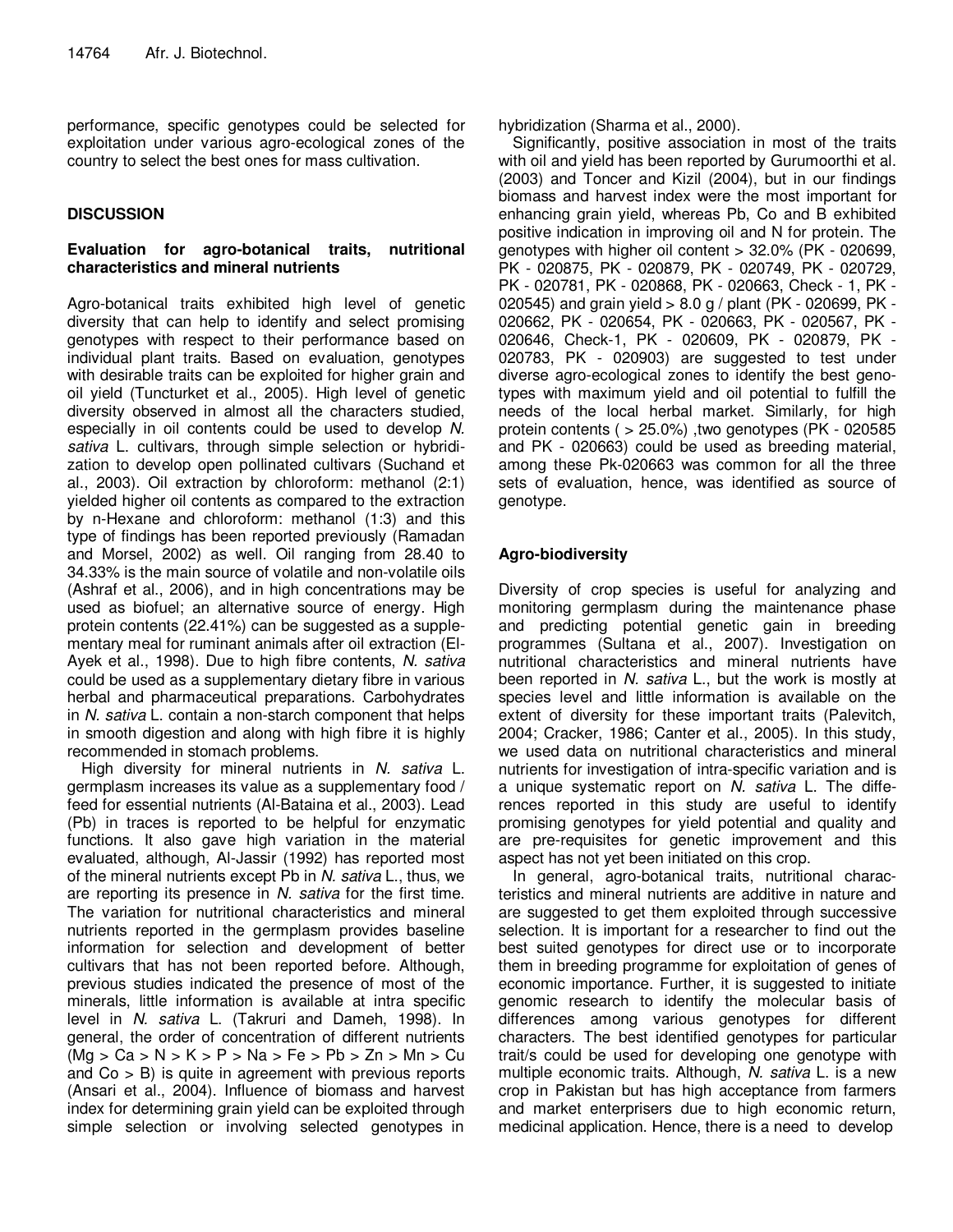performance, specific genotypes could be selected for exploitation under various agro-ecological zones of the country to select the best ones for mass cultivation.

# **DISCUSSION**

# **Evaluation for agro-botanical traits, nutritional characteristics and mineral nutrients**

Agro-botanical traits exhibited high level of genetic diversity that can help to identify and select promising genotypes with respect to their performance based on individual plant traits. Based on evaluation, genotypes with desirable traits can be exploited for higher grain and oil yield (Tuncturket et al., 2005). High level of genetic diversity observed in almost all the characters studied, especially in oil contents could be used to develop N. sativa L. cultivars, through simple selection or hybridization to develop open pollinated cultivars (Suchand et al., 2003). Oil extraction by chloroform: methanol (2:1) yielded higher oil contents as compared to the extraction by n-Hexane and chloroform: methanol (1:3) and this type of findings has been reported previously (Ramadan and Morsel, 2002) as well. Oil ranging from 28.40 to 34.33% is the main source of volatile and non-volatile oils (Ashraf et al., 2006), and in high concentrations may be used as biofuel; an alternative source of energy. High protein contents (22.41%) can be suggested as a supplementary meal for ruminant animals after oil extraction (El-Ayek et al., 1998). Due to high fibre contents, N. sativa could be used as a supplementary dietary fibre in various herbal and pharmaceutical preparations. Carbohydrates in N. sativa L. contain a non-starch component that helps in smooth digestion and along with high fibre it is highly recommended in stomach problems.

High diversity for mineral nutrients in N. sativa L. germplasm increases its value as a supplementary food / feed for essential nutrients (Al-Bataina et al., 2003). Lead (Pb) in traces is reported to be helpful for enzymatic functions. It also gave high variation in the material evaluated, although, Al-Jassir (1992) has reported most of the mineral nutrients except Pb in N. sativa L., thus, we are reporting its presence in N. sativa for the first time. The variation for nutritional characteristics and mineral nutrients reported in the germplasm provides baseline information for selection and development of better cultivars that has not been reported before. Although, previous studies indicated the presence of most of the minerals, little information is available at intra specific level in N. sativa L. (Takruri and Dameh, 1998). In general, the order of concentration of different nutrients  $(Mg > Ca > N > K > P > Na > Fe > Pb > Zn > Mn > Cu$ and  $Co > B$ ) is quite in agreement with previous reports (Ansari et al., 2004). Influence of biomass and harvest index for determining grain yield can be exploited through simple selection or involving selected genotypes in

hybridization (Sharma et al., 2000).

Significantly, positive association in most of the traits with oil and yield has been reported by Gurumoorthi et al. (2003) and Toncer and Kizil (2004), but in our findings biomass and harvest index were the most important for enhancing grain yield, whereas Pb, Co and B exhibited positive indication in improving oil and N for protein. The genotypes with higher oil content > 32.0% (PK - 020699, PK - 020875, PK - 020879, PK - 020749, PK - 020729, PK - 020781, PK - 020868, PK - 020663, Check - 1, PK - 020545) and grain yield > 8.0 g / plant (PK - 020699, PK - 020662, PK - 020654, PK - 020663, PK - 020567, PK - 020646, Check-1, PK - 020609, PK - 020879, PK - 020783, PK - 020903) are suggested to test under diverse agro-ecological zones to identify the best genotypes with maximum yield and oil potential to fulfill the needs of the local herbal market. Similarly, for high protein contents ( > 25.0%) ,two genotypes (PK - 020585 and PK - 020663) could be used as breeding material, among these Pk-020663 was common for all the three sets of evaluation, hence, was identified as source of genotype.

# **Agro-biodiversity**

Diversity of crop species is useful for analyzing and monitoring germplasm during the maintenance phase and predicting potential genetic gain in breeding programmes (Sultana et al., 2007). Investigation on nutritional characteristics and mineral nutrients have been reported in N. sativa L., but the work is mostly at species level and little information is available on the extent of diversity for these important traits (Palevitch, 2004; Cracker, 1986; Canter et al., 2005). In this study, we used data on nutritional characteristics and mineral nutrients for investigation of intra-specific variation and is a unique systematic report on N. sativa L. The differences reported in this study are useful to identify promising genotypes for yield potential and quality and are pre-requisites for genetic improvement and this aspect has not yet been initiated on this crop.

In general, agro-botanical traits, nutritional characteristics and mineral nutrients are additive in nature and are suggested to get them exploited through successive selection. It is important for a researcher to find out the best suited genotypes for direct use or to incorporate them in breeding programme for exploitation of genes of economic importance. Further, it is suggested to initiate genomic research to identify the molecular basis of differences among various genotypes for different characters. The best identified genotypes for particular trait/s could be used for developing one genotype with multiple economic traits. Although, N. sativa L. is a new crop in Pakistan but has high acceptance from farmers and market enterprisers due to high economic return, medicinal application. Hence, there is a need to develop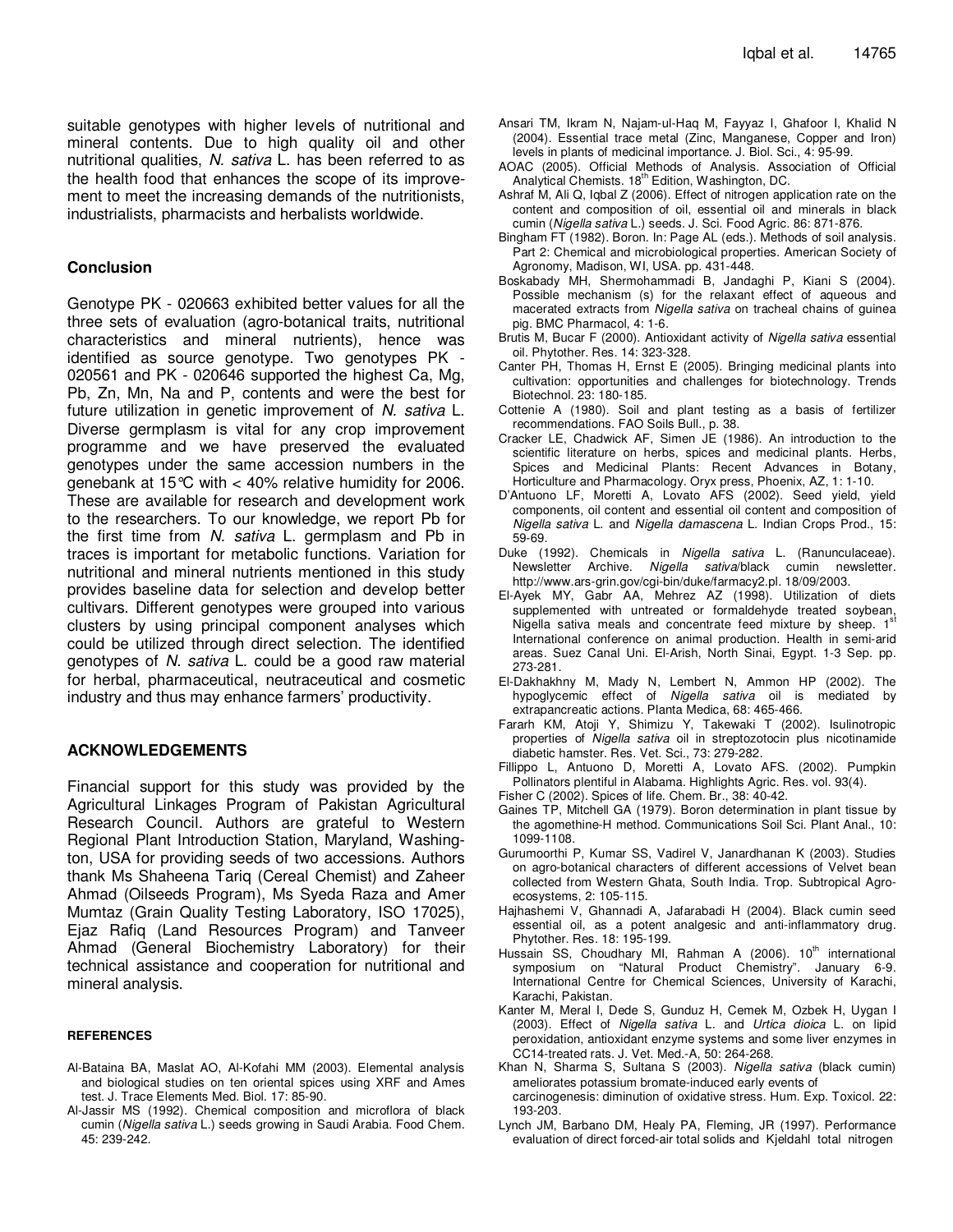suitable genotypes with higher levels of nutritional and mineral contents. Due to high quality oil and other nutritional qualities, N. sativa L. has been referred to as the health food that enhances the scope of its improvement to meet the increasing demands of the nutritionists, industrialists, pharmacists and herbalists worldwide.

# **Conclusion**

Genotype PK - 020663 exhibited better values for all the three sets of evaluation (agro-botanical traits, nutritional characteristics and mineral nutrients), hence was identified as source genotype. Two genotypes PK - 020561 and PK - 020646 supported the highest Ca, Mg, Pb, Zn, Mn, Na and P, contents and were the best for future utilization in genetic improvement of N. sativa L. Diverse germplasm is vital for any crop improvement programme and we have preserved the evaluated genotypes under the same accession numbers in the genebank at 15 $\degree$ C with  $\lt$  40% relative humidity for 2006. These are available for research and development work to the researchers. To our knowledge, we report Pb for the first time from N. sativa L. germplasm and Pb in traces is important for metabolic functions. Variation for nutritional and mineral nutrients mentioned in this study provides baseline data for selection and develop better cultivars. Different genotypes were grouped into various clusters by using principal component analyses which could be utilized through direct selection. The identified genotypes of N. sativa L. could be a good raw material for herbal, pharmaceutical, neutraceutical and cosmetic industry and thus may enhance farmers' productivity.

# **ACKNOWLEDGEMENTS**

Financial support for this study was provided by the Agricultural Linkages Program of Pakistan Agricultural Research Council. Authors are grateful to Western Regional Plant Introduction Station, Maryland, Washington, USA for providing seeds of two accessions. Authors thank Ms Shaheena Tariq (Cereal Chemist) and Zaheer Ahmad (Oilseeds Program), Ms Syeda Raza and Amer Mumtaz (Grain Quality Testing Laboratory, ISO 17025), Ejaz Rafiq (Land Resources Program) and Tanveer Ahmad (General Biochemistry Laboratory) for their technical assistance and cooperation for nutritional and mineral analysis.

#### **REFERENCES**

- Al-Bataina BA, Maslat AO, Al-Kofahi MM (2003). Elemental analysis and biological studies on ten oriental spices using XRF and Ames test. J. Trace Elements Med. Biol. 17: 85-90.
- Al-Jassir MS (1992). Chemical composition and microflora of black cumin (Nigella sativa L.) seeds growing in Saudi Arabia. Food Chem. 45: 239-242.
- Ansari TM, Ikram N, Najam-ul-Haq M, Fayyaz I, Ghafoor I, Khalid N (2004). Essential trace metal (Zinc, Manganese, Copper and Iron) levels in plants of medicinal importance. J. Biol. Sci., 4: 95-99.
- AOAC (2005). Official Methods of Analysis. Association of Official Analytical Chemists. 18<sup>th</sup> Edition, Washington, DC.
- Ashraf M, Ali Q, Iqbal Z (2006). Effect of nitrogen application rate on the content and composition of oil, essential oil and minerals in black cumin (Nigella sativa L.) seeds. J. Sci. Food Agric. 86: 871-876.
- Bingham FT (1982). Boron. In: Page AL (eds.). Methods of soil analysis. Part 2: Chemical and microbiological properties. American Society of Agronomy, Madison, WI, USA. pp. 431-448.
- Boskabady MH, Shermohammadi B, Jandaghi P, Kiani S (2004). Possible mechanism (s) for the relaxant effect of aqueous and macerated extracts from Nigella sativa on tracheal chains of guinea pig. BMC Pharmacol, 4: 1-6.
- Brutis M, Bucar F (2000). Antioxidant activity of Nigella sativa essential oil. Phytother. Res. 14: 323-328.
- Canter PH, Thomas H, Ernst E (2005). Bringing medicinal plants into cultivation: opportunities and challenges for biotechnology. Trends Biotechnol. 23: 180-185.
- Cottenie A (1980). Soil and plant testing as a basis of fertilizer recommendations. FAO Soils Bull., p. 38.
- Cracker LE, Chadwick AF, Simen JE (1986). An introduction to the scientific literature on herbs, spices and medicinal plants. Herbs, Spices and Medicinal Plants: Recent Advances in Botany, Horticulture and Pharmacology. Oryx press, Phoenix, AZ, 1: 1-10.
- D'Antuono LF, Moretti A, Lovato AFS (2002). Seed yield, yield components, oil content and essential oil content and composition of Nigella sativa L. and Nigella damascena L. Indian Crops Prod., 15: 59-69.
- Duke (1992). Chemicals in Nigella sativa L. (Ranunculaceae). Newsletter Archive. Nigella sativa/black cumin newsletter. http://www.ars-grin.gov/cgi-bin/duke/farmacy2.pl. 18/09/2003.
- El-Ayek MY, Gabr AA, Mehrez AZ (1998). Utilization of diets supplemented with untreated or formaldehyde treated soybean, Nigella sativa meals and concentrate feed mixture by sheep.  $1<sup>5</sup>$ International conference on animal production. Health in semi-arid areas. Suez Canal Uni. El-Arish, North Sinai, Egypt. 1-3 Sep. pp. 273-281.
- El-Dakhakhny M, Mady N, Lembert N, Ammon HP (2002). The hypoglycemic effect of Nigella sativa oil is mediated by extrapancreatic actions. Planta Medica, 68: 465-466.
- Fararh KM, Atoji Y, Shimizu Y, Takewaki T (2002). Isulinotropic properties of Nigella sativa oil in streptozotocin plus nicotinamide diabetic hamster. Res. Vet. Sci., 73: 279-282.
- Fillippo L, Antuono D, Moretti A, Lovato AFS. (2002). Pumpkin Pollinators plentiful in Alabama. Highlights Agric. Res. vol. 93(4).
- Fisher C (2002). Spices of life. Chem. Br., 38: 40-42.
- Gaines TP, Mitchell GA (1979). Boron determination in plant tissue by the agomethine-H method. Communications Soil Sci. Plant Anal., 10: 1099-1108.
- Gurumoorthi P, Kumar SS, Vadirel V, Janardhanan K (2003). Studies on agro-botanical characters of different accessions of Velvet bean collected from Western Ghata, South India. Trop. Subtropical Agroecosystems, 2: 105-115.
- Hajhashemi V, Ghannadi A, Jafarabadi H (2004). Black cumin seed essential oil, as a potent analgesic and anti-inflammatory drug. Phytother. Res. 18: 195-199.
- Hussain SS, Choudhary MI, Rahman A (2006).  $10<sup>th</sup>$  international symposium on "Natural Product Chemistry". January 6-9. International Centre for Chemical Sciences, University of Karachi, Karachi, Pakistan.
- Kanter M, Meral I, Dede S, Gunduz H, Cemek M, Ozbek H, Uygan I (2003). Effect of Nigella sativa L. and Urtica dioica L. on lipid peroxidation, antioxidant enzyme systems and some liver enzymes in CC14-treated rats. J. Vet. Med.-A, 50: 264-268.
- Khan N, Sharma S, Sultana S (2003). Nigella sativa (black cumin) ameliorates potassium bromate-induced early events of carcinogenesis: diminution of oxidative stress. Hum. Exp. Toxicol. 22: 193-203.
- Lynch JM, Barbano DM, Healy PA, Fleming, JR (1997). Performance evaluation of direct forced-air total solids and Kjeldahl total nitrogen